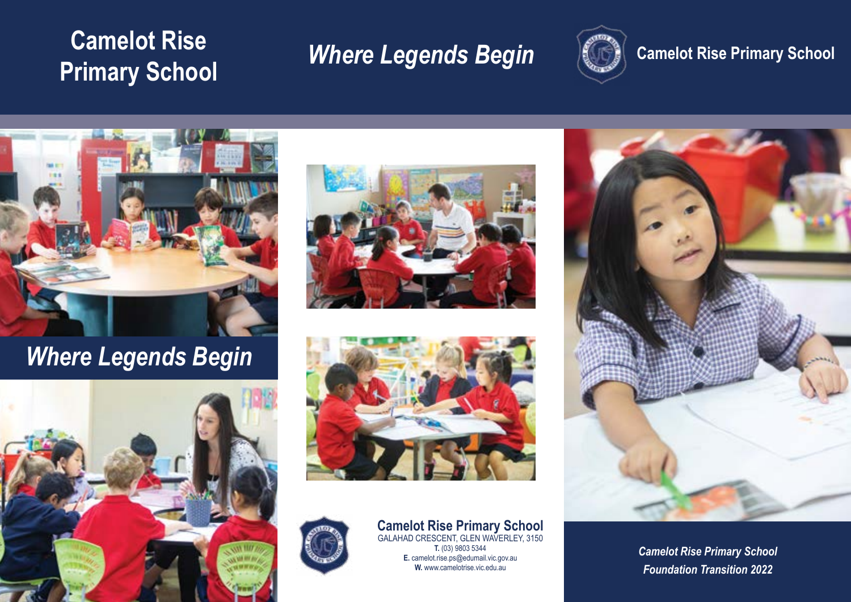# **Camelot Rise Where Legends Begin Primary School**



**Camelot Rise Primary School**



# *Where Legends Begin*









#### **Camelot Rise Primary School** GALAHAD CRESCENT, GLEN WAVERLEY, 3150 **T.** (03) 9803 5344

**E.** camelot.rise.ps@edumail.vic.gov.au **W.** www.camelotrise.vic.edu.au



*Camelot Rise Primary School Foundation Transition 2022*